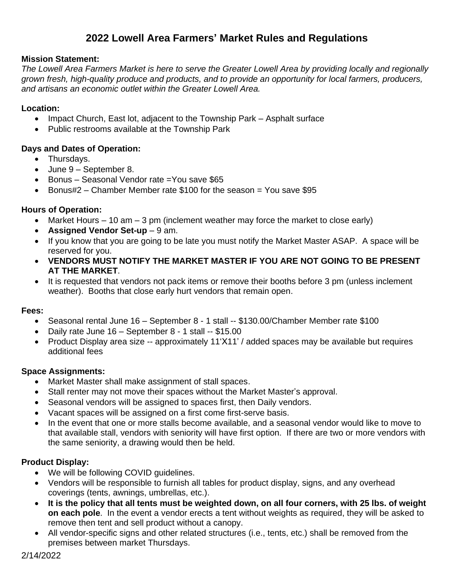# **2022 Lowell Area Farmers' Market Rules and Regulations**

### **Mission Statement:**

*The Lowell Area Farmers Market is here to serve the Greater Lowell Area by providing locally and regionally grown fresh, high-quality produce and products, and to provide an opportunity for local farmers, producers, and artisans an economic outlet within the Greater Lowell Area.* 

### **Location:**

- Impact Church, East lot, adjacent to the Township Park Asphalt surface
- Public restrooms available at the Township Park

### **Days and Dates of Operation:**

- Thursdays.
- June 9 September 8.
- Bonus Seasonal Vendor rate =You save \$65
- Bonus#2 Chamber Member rate \$100 for the season  $=$  You save \$95

#### **Hours of Operation:**

- Market Hours  $-10$  am  $-3$  pm (inclement weather may force the market to close early)
- **Assigned Vendor Set-up** 9 am.
- If you know that you are going to be late you must notify the Market Master ASAP. A space will be reserved for you.
- **VENDORS MUST NOTIFY THE MARKET MASTER IF YOU ARE NOT GOING TO BE PRESENT AT THE MARKET**.
- It is requested that vendors not pack items or remove their booths before 3 pm (unless inclement weather). Booths that close early hurt vendors that remain open.

#### **Fees:**

- Seasonal rental June 16 September 8 1 stall -- \$130.00/Chamber Member rate \$100
- Daily rate June 16 September 8 1 stall -- \$15.00
- Product Display area size -- approximately 11'X11' / added spaces may be available but requires additional fees

# **Space Assignments:**

- Market Master shall make assignment of stall spaces.
- Stall renter may not move their spaces without the Market Master's approval.
- Seasonal vendors will be assigned to spaces first, then Daily vendors.
- Vacant spaces will be assigned on a first come first-serve basis.
- In the event that one or more stalls become available, and a seasonal vendor would like to move to that available stall, vendors with seniority will have first option. If there are two or more vendors with the same seniority, a drawing would then be held.

# **Product Display:**

- We will be following COVID guidelines.
- Vendors will be responsible to furnish all tables for product display, signs, and any overhead coverings (tents, awnings, umbrellas, etc.).
- **It is the policy that all tents must be weighted down, on all four corners, with 25 lbs. of weight on each pole**. In the event a vendor erects a tent without weights as required, they will be asked to remove then tent and sell product without a canopy.
- All vendor-specific signs and other related structures (i.e., tents, etc.) shall be removed from the premises between market Thursdays.